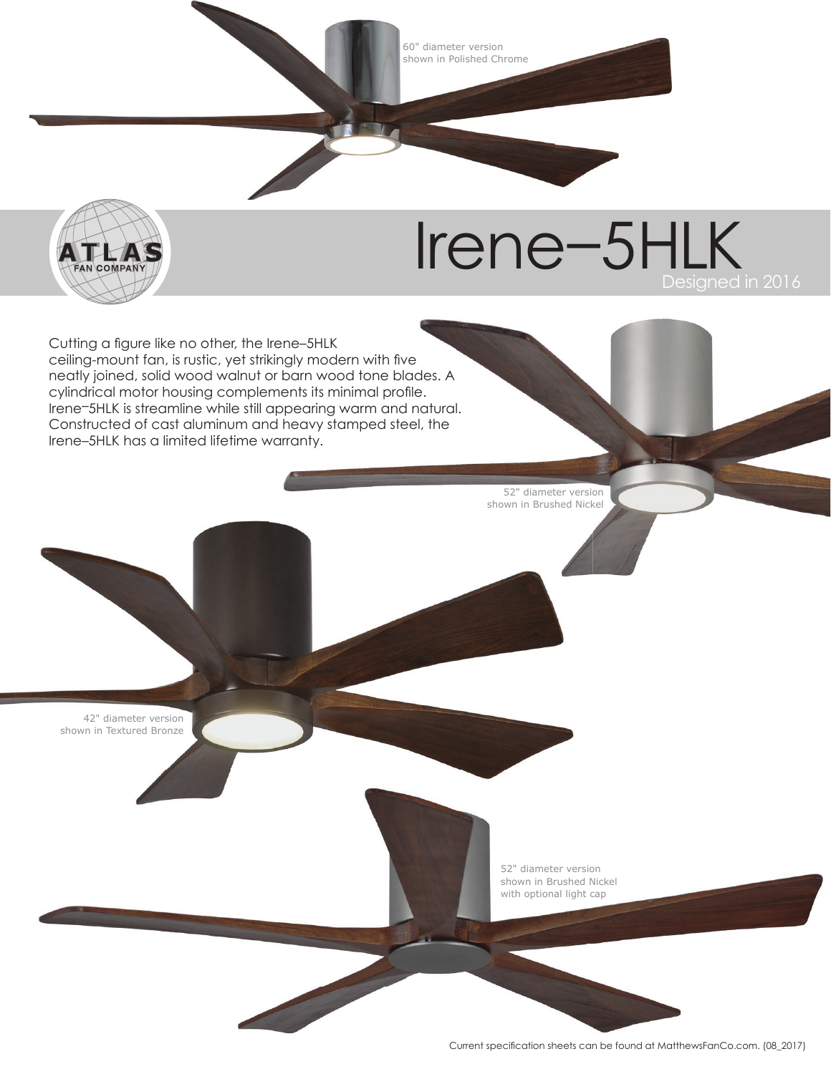60" diameter version shown in Polished Chrome



## Irene–5HLK

Cutting a figure like no other, the Irene-5HLK ceiling-mount fan, is rustic, yet strikingly modern with five neatly joined, solid wood walnut or barn wood tone blades. A cylindrical motor housing complements its minimal profile. Irene–5HLK is streamline while still appearing warm and natural. Constructed of cast aluminum and heavy stamped steel, the Irene–5HLK has a limited lifetime warranty.

> 52" diameter version shown in Brushed Nickel

42" diameter version shown in Textured Bronze

> 52" diameter version shown in Brushed Nickel with optional light cap